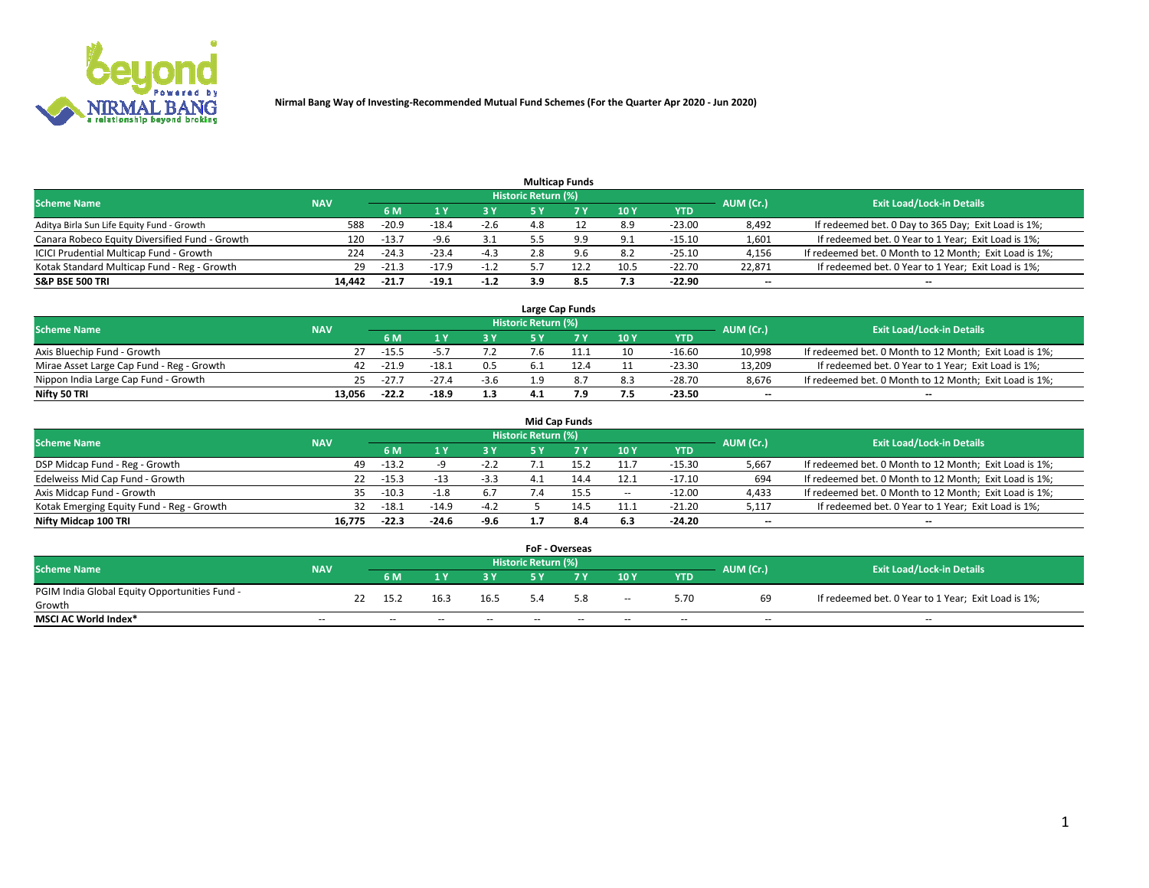

|                                                |            |         |         |        |                     | <b>Multicap Funds</b> |                 |          |                          |                                                        |
|------------------------------------------------|------------|---------|---------|--------|---------------------|-----------------------|-----------------|----------|--------------------------|--------------------------------------------------------|
| <b>Scheme Name</b>                             | <b>NAV</b> |         |         |        | Historic Return (%) |                       |                 |          | AUM (Cr.)                | <b>Exit Load/Lock-in Details</b>                       |
|                                                |            | 6 M     |         |        |                     |                       | 10 <sub>1</sub> | YTD      |                          |                                                        |
| Aditya Birla Sun Life Equity Fund - Growth     | 588        | $-20.9$ | $-18.4$ | $-2.6$ | 4.8                 |                       | 8.9             | $-23.00$ | 8,492                    | If redeemed bet. 0 Day to 365 Day; Exit Load is 1%;    |
| Canara Robeco Equity Diversified Fund - Growth | 120        | $-13.7$ | $-9.6$  | 3.1    |                     |                       | 9.1             | $-15.10$ | 1,601                    | If redeemed bet. 0 Year to 1 Year; Exit Load is 1%;    |
| ICICI Prudential Multicap Fund - Growth        | 224        | $-24.3$ | $-23.4$ | -4.3   | 2.8                 | 9.6                   | 8.2             | $-25.10$ | 4,156                    | If redeemed bet. 0 Month to 12 Month; Exit Load is 1%; |
| Kotak Standard Multicap Fund - Reg - Growth    | 29         | $-21.3$ | $-17.9$ | $-1.2$ |                     | 12.2                  | 10.5            | $-22.70$ | 22.871                   | If redeemed bet. 0 Year to 1 Year; Exit Load is 1%;    |
| <b>S&amp;P BSE 500 TRI</b>                     | 14.442     | $-21.7$ | $-19.1$ | $-1.2$ | 3.9                 | 8.5                   | 7.3             | $-22.90$ | $\overline{\phantom{a}}$ | $\overline{\phantom{a}}$                               |

|                                           |            |         |         |        |                     | Large Cap Funds |     |            |                          |                                                        |
|-------------------------------------------|------------|---------|---------|--------|---------------------|-----------------|-----|------------|--------------------------|--------------------------------------------------------|
| <b>Scheme Name</b>                        | <b>NAV</b> |         |         |        | Historic Return (%) |                 |     |            | AUM (Cr.)                | <b>Exit Load/Lock-in Details</b>                       |
|                                           |            | 6 M     |         | 3 Y    |                     |                 | 10Y | <b>YTD</b> |                          |                                                        |
| Axis Bluechip Fund - Growth               |            | $-15.5$ |         |        | $^{\prime}.6$       |                 | 10  | $-16.60$   | 10.998                   | If redeemed bet. 0 Month to 12 Month; Exit Load is 1%; |
| Mirae Asset Large Cap Fund - Reg - Growth |            | $-21.9$ | -18     | 0.5    |                     |                 |     | -23.30     | 13.209                   | If redeemed bet. 0 Year to 1 Year; Exit Load is 1%;    |
| Nippon India Large Cap Fund - Growth      | 25         | $-27.$  | $-27.4$ | $-3.6$ | 1 ດ                 |                 | 8.3 | $-28.70$   | 8.676                    | If redeemed bet. 0 Month to 12 Month; Exit Load is 1%; |
| Nifty 50 TRI                              | 13.056     | $-22.2$ | $-18.9$ | 1.3    |                     |                 | 7.5 | -23.50     | $\overline{\phantom{a}}$ | $\overline{\phantom{a}}$                               |

|                                           |            |         |         |        |                     | <b>Mid Cap Funds</b> |       |            |           |                                                        |
|-------------------------------------------|------------|---------|---------|--------|---------------------|----------------------|-------|------------|-----------|--------------------------------------------------------|
| <b>Scheme Name</b>                        | <b>NAV</b> |         |         |        | Historic Return (%) |                      |       |            | AUM (Cr.) | <b>Exit Load/Lock-in Details</b>                       |
|                                           |            | 6 M     |         | 3 Y    |                     | 7 V                  | 10Y   | <b>YTD</b> |           |                                                        |
| DSP Midcap Fund - Reg - Growth            | 49         | $-13.2$ |         | $-2.2$ |                     |                      | 11.7  | $-15.30$   | 5,667     | If redeemed bet. 0 Month to 12 Month; Exit Load is 1%; |
| Edelweiss Mid Cap Fund - Growth           | 22         | $-15.3$ |         | $-3.3$ |                     |                      | 12.1  | $-17.10$   | 694       | If redeemed bet. 0 Month to 12 Month; Exit Load is 1%; |
| Axis Midcap Fund - Growth                 | 35.        | $-10.3$ |         | 6.7    |                     |                      | $- -$ | $-12.00$   | 4,433     | If redeemed bet. 0 Month to 12 Month; Exit Load is 1%; |
| Kotak Emerging Equity Fund - Reg - Growth | 32         | $-18.1$ | $-14.9$ | $-4.2$ |                     | 14.5                 | 11.1  | $-21.20$   | 5,117     | If redeemed bet. 0 Year to 1 Year; Exit Load is 1%;    |
| Nifty Midcap 100 TRI                      | 16.775     | $-22.3$ | $-24.6$ | $-9.6$ |                     | 8.4                  | 6.3   | $-24.20$   | $- -$     | $\overline{\phantom{a}}$                               |

|                                               |            |    |                          |      |       | <b>FoF - Overseas</b>      |     |        |            |           |                                                     |
|-----------------------------------------------|------------|----|--------------------------|------|-------|----------------------------|-----|--------|------------|-----------|-----------------------------------------------------|
| <b>Scheme Name</b>                            | <b>NAV</b> |    |                          |      |       | <b>Historic Return (%)</b> |     |        |            | AUM (Cr.) | <b>Exit Load/Lock-in Details</b>                    |
|                                               |            |    | 6 M                      |      |       |                            |     | 10Y    | <b>YTD</b> |           |                                                     |
| PGIM India Global Equity Opportunities Fund - |            | 22 | 15.2                     | 16.3 | 16.5  |                            | 5.8 | $\sim$ | 5.70       | 69        | If redeemed bet. 0 Year to 1 Year; Exit Load is 1%; |
| Growth                                        |            |    |                          |      |       |                            |     |        |            |           |                                                     |
| <b>MSCI AC World Index*</b>                   | $- -$      |    | $\overline{\phantom{a}}$ | --   | $- -$ | $\overline{\phantom{a}}$   | $-$ | $\sim$ | $\sim$     | $- -$     | $-$                                                 |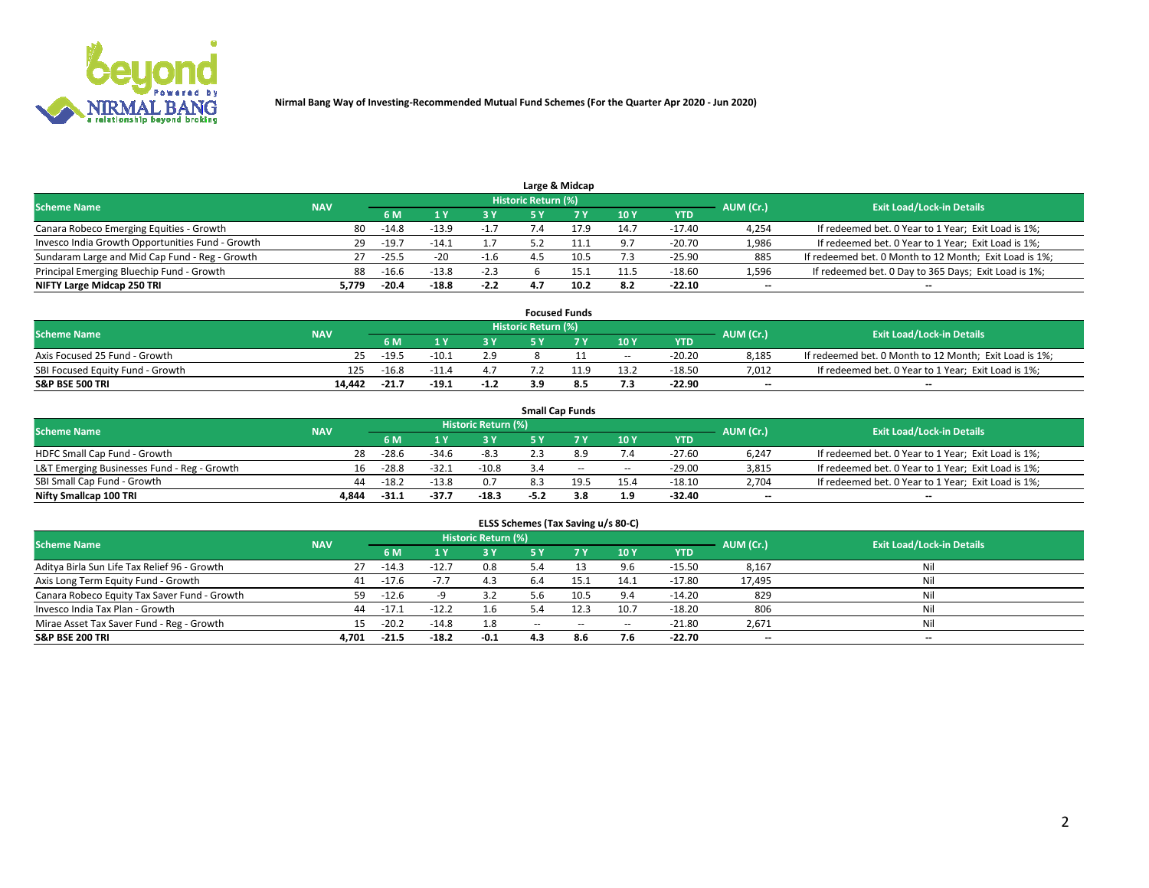

|                                                  |            |         |         |        |                     | Large & Midcap |      |            |           |                                                        |
|--------------------------------------------------|------------|---------|---------|--------|---------------------|----------------|------|------------|-----------|--------------------------------------------------------|
| <b>Scheme Name</b>                               | <b>NAV</b> |         |         |        | Historic Return (%) |                |      |            | AUM (Cr.) | <b>Exit Load/Lock-in Details</b>                       |
|                                                  |            | 6 M     |         |        |                     |                | 10Y  | <b>YTD</b> |           |                                                        |
| Canara Robeco Emerging Equities - Growth         | 80         | $-14.8$ | $-13.9$ | $-1.7$ |                     |                | 14.7 | $-17.40$   | 4,254     | If redeemed bet. 0 Year to 1 Year; Exit Load is 1%;    |
| Invesco India Growth Opportunities Fund - Growth | 29         | $-19.7$ | $-14.1$ |        |                     |                | 9.7  | $-20.70$   | 1,986     | If redeemed bet. 0 Year to 1 Year; Exit Load is 1%;    |
| Sundaram Large and Mid Cap Fund - Reg - Growth   | 27         | $-25.5$ | $-20$   | -1.6   |                     | 10.5           | 7.3  | $-25.90$   | 885       | If redeemed bet. 0 Month to 12 Month; Exit Load is 1%; |
| Principal Emerging Bluechip Fund - Growth        | 88         | $-16.6$ | $-13.8$ | $-2.3$ |                     | 15.1           | 11.5 | $-18.60$   | 1,596     | If redeemed bet. 0 Day to 365 Days; Exit Load is 1%;   |
| NIFTY Large Midcap 250 TRI                       | 5.779      | $-20.4$ | $-18.8$ | $-2.2$ |                     | 10.2           | 8.2  | $-22.10$   | $-$       | $\overline{\phantom{a}}$                               |

|                                  |            |         |         |        |                     | <b>Focused Funds</b> |        |          |                          |                                                        |
|----------------------------------|------------|---------|---------|--------|---------------------|----------------------|--------|----------|--------------------------|--------------------------------------------------------|
| <b>Scheme Name</b>               | <b>NAV</b> |         |         |        | Historic Return (%) |                      |        |          | AUM (Cr.)                | <b>Exit Load/Lock-in Details</b>                       |
|                                  |            | 6 M     |         |        |                     |                      | 10Y    | YTD      |                          |                                                        |
| Axis Focused 25 Fund - Growth    |            | $-19.5$ | $-10.1$ | 2.9    |                     |                      | $\sim$ | $-20.20$ | 8,185                    | If redeemed bet. 0 Month to 12 Month; Exit Load is 1%; |
| SBI Focused Equity Fund - Growth | 125        | $-16.8$ |         |        |                     |                      | 13.2   | $-18.50$ | 7,012                    | If redeemed bet. 0 Year to 1 Year; Exit Load is 1%;    |
| <b>S&amp;P BSE 500 TRI</b>       | 14.442     | $-21.7$ | $-19.1$ | $-1.2$ |                     |                      | 7.3    | $-22.90$ | $\overline{\phantom{a}}$ | $\overline{\phantom{a}}$                               |

|                                             |            |         |         |                     |      | <b>Small Cap Funds</b> |      |            |           |                                                     |
|---------------------------------------------|------------|---------|---------|---------------------|------|------------------------|------|------------|-----------|-----------------------------------------------------|
| <b>Scheme Name</b>                          | <b>NAV</b> |         |         | Historic Return (%) |      |                        |      |            | AUM (Cr.) | <b>Exit Load/Lock-in Details</b>                    |
|                                             |            | 6 M     |         | 3 Y                 |      |                        | 10Y  | <b>YTD</b> |           |                                                     |
| HDFC Small Cap Fund - Growth                | 28         | $-28.6$ | $-34.6$ | $-8.3$              |      |                        | 7.4  | $-27.60$   | 6,247     | If redeemed bet. 0 Year to 1 Year; Exit Load is 1%; |
| L&T Emerging Businesses Fund - Reg - Growth | 16         | $-28.8$ | $-32.1$ | $-10.8$             | 3.4  | $\sim$                 | $-$  | $-29.00$   | 3,815     | If redeemed bet. 0 Year to 1 Year; Exit Load is 1%; |
| SBI Small Cap Fund - Growth                 | 44         | $-18.2$ | $-13.8$ | 0.7                 |      | 19.5                   | 15.4 | $-18.10$   | 2.704     | If redeemed bet. 0 Year to 1 Year; Exit Load is 1%; |
| Nifty Smallcap 100 TRI                      | 4.844      | $-31.1$ | -37.7   | $-18.3$             | -5.2 | 3.8                    | 1.9  | $-32.40$   | $- -$     | $\overline{\phantom{a}}$                            |

| ELSS Schemes (Tax Saving u/s 80-C)           |            |         |         |                            |            |           |        |            |           |                                  |  |  |  |
|----------------------------------------------|------------|---------|---------|----------------------------|------------|-----------|--------|------------|-----------|----------------------------------|--|--|--|
| <b>Scheme Name</b>                           | <b>NAV</b> |         |         | <b>Historic Return (%)</b> |            |           |        |            | AUM (Cr.) | <b>Exit Load/Lock-in Details</b> |  |  |  |
|                                              |            | 6 M     |         | 3 Y                        | <b>5 Y</b> | <b>7Y</b> | 10Y    | <b>YTD</b> |           |                                  |  |  |  |
| Aditya Birla Sun Life Tax Relief 96 - Growth | 27         | $-14.3$ | $-12.7$ | 0.8                        | 5.4        |           | 9.6    | $-15.50$   | 8,167     | Nil                              |  |  |  |
| Axis Long Term Equity Fund - Growth          | 41         | $-17.6$ | $-7.7$  | 4.3                        | 6.4        | 15.1      | 14.1   | $-17.80$   | 17,495    | Nil                              |  |  |  |
| Canara Robeco Equity Tax Saver Fund - Growth | 59 -       | $-12.6$ |         | 3.2                        | 5.6        | 10.5      | 9.4    | $-14.20$   | 829       | Nil                              |  |  |  |
| Invesco India Tax Plan - Growth              | 44         | $-17.1$ | $-12.2$ | 1.6                        |            | 12.3      | 10.7   | $-18.20$   | 806       | Nil                              |  |  |  |
| Mirae Asset Tax Saver Fund - Reg - Growth    |            | $-20.2$ | $-14.8$ | 1.8                        | $\sim$     | $\sim$    | $\sim$ | $-21.80$   | 2,671     | Nil                              |  |  |  |
| <b>S&amp;P BSE 200 TRI</b>                   | 4.701      | $-21.5$ | $-18.2$ | $-0.1$                     | 4.3        | 8.6       | 7.6    | $-22.70$   | $- -$     | $\overline{\phantom{a}}$         |  |  |  |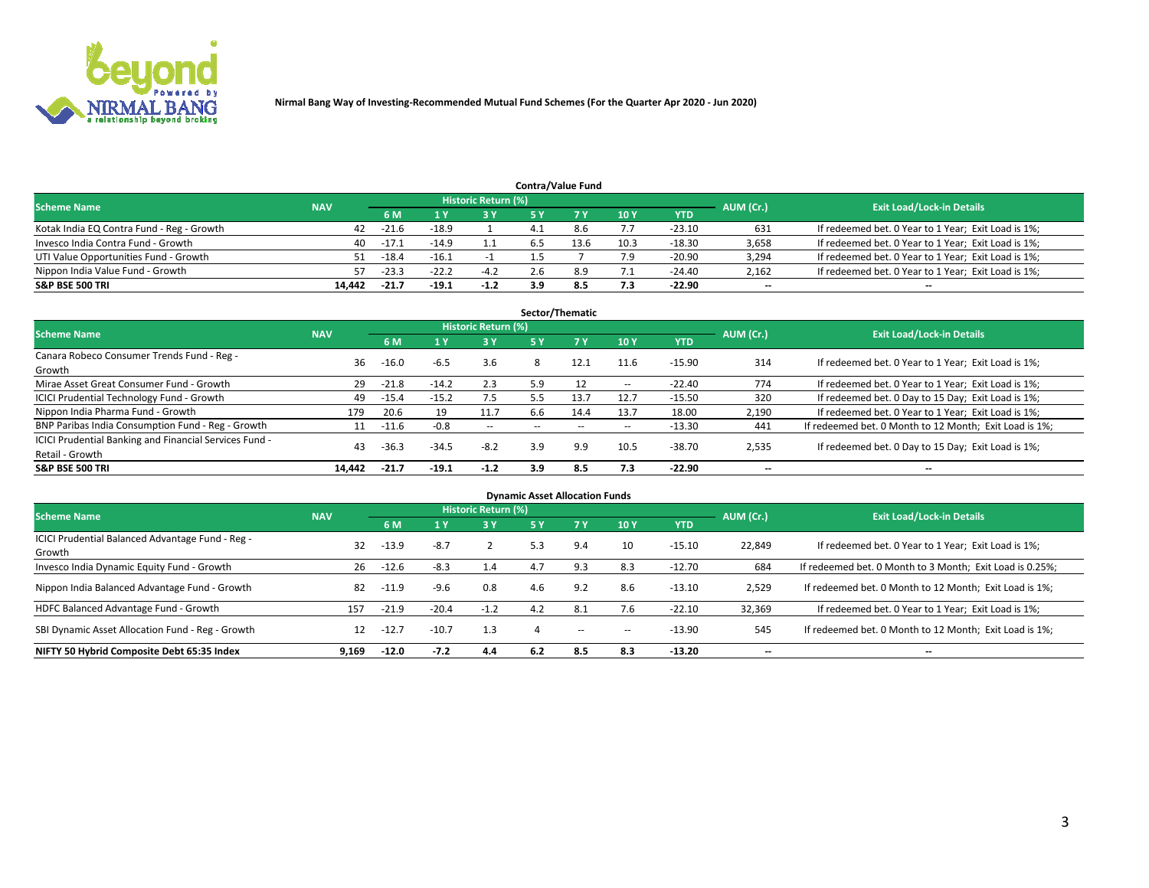

|                                           |            |                                  |         |        |     | <b>Contra/Value Fund</b> |      |            |       |                                                     |
|-------------------------------------------|------------|----------------------------------|---------|--------|-----|--------------------------|------|------------|-------|-----------------------------------------------------|
| <b>Scheme Name</b>                        | AUM (Cr.)  | <b>Exit Load/Lock-in Details</b> |         |        |     |                          |      |            |       |                                                     |
|                                           | <b>NAV</b> | 6 M                              |         | 2 V    |     |                          | 10Y  | <b>YTD</b> |       |                                                     |
| Kotak India EQ Contra Fund - Reg - Growth | 42         | -21.6                            | $-18.9$ |        |     | 8.6                      | 7.7  | $-23.10$   | 631   | If redeemed bet. 0 Year to 1 Year; Exit Load is 1%; |
| Invesco India Contra Fund - Growth        | 40         | $-17.1$                          | $-14.9$ |        |     | 13.6                     | 10.3 | $-18.30$   | 3,658 | If redeemed bet. 0 Year to 1 Year; Exit Load is 1%; |
| UTI Value Opportunities Fund - Growth     | 51         | $-18.4$                          | $-16.1$ |        |     |                          | 7.9  | $-20.90$   | 3,294 | If redeemed bet. 0 Year to 1 Year; Exit Load is 1%; |
| Nippon India Value Fund - Growth          | 57         | $-23.3$                          | $-22.2$ | $-4.2$ | 2.6 |                          | 7.1  | $-24.40$   | 2,162 | If redeemed bet. 0 Year to 1 Year; Exit Load is 1%; |
| <b>S&amp;P BSE 500 TRI</b>                | 14.442     | $-21.7$                          | $-19.1$ | $-1.2$ | 3.9 |                          | 7.3  | $-22.90$   | $- -$ | $\sim$                                              |

|                                                                           |            |         |         |                            |     | Sector/Thematic |        |          |                          |                                                        |
|---------------------------------------------------------------------------|------------|---------|---------|----------------------------|-----|-----------------|--------|----------|--------------------------|--------------------------------------------------------|
| <b>Scheme Name</b>                                                        | <b>NAV</b> |         |         | <b>Historic Return (%)</b> |     |                 |        |          | AUM (Cr.)                | <b>Exit Load/Lock-in Details</b>                       |
|                                                                           |            | 6 M     |         | 3 Y                        | 5 Y |                 | 10Y    | YTD      |                          |                                                        |
| Canara Robeco Consumer Trends Fund - Reg -<br>Growth                      | 36         | $-16.0$ | $-6.5$  | 3.6                        | 8   | 12.1            | 11.6   | $-15.90$ | 314                      | If redeemed bet. 0 Year to 1 Year; Exit Load is 1%;    |
| Mirae Asset Great Consumer Fund - Growth                                  | 29         | $-21.8$ | $-14.2$ | 2.3                        | 5.9 |                 | $\sim$ | $-22.40$ | 774                      | If redeemed bet. 0 Year to 1 Year; Exit Load is 1%;    |
| <b>ICICI Prudential Technology Fund - Growth</b>                          | 49         | $-15.4$ | $-15.2$ | 7.5                        | 5.5 | 13.7            | 12.7   | $-15.50$ | 320                      | If redeemed bet. 0 Day to 15 Day; Exit Load is 1%;     |
| Nippon India Pharma Fund - Growth                                         | 179        | 20.6    | 19      | 11.7                       | 6.6 | 14.4            | 13.7   | 18.00    | 2,190                    | If redeemed bet. 0 Year to 1 Year; Exit Load is 1%;    |
| BNP Paribas India Consumption Fund - Reg - Growth                         |            | $-11.6$ | $-0.8$  | $\sim$                     |     |                 | $\sim$ | $-13.30$ | 441                      | If redeemed bet. 0 Month to 12 Month; Exit Load is 1%; |
| ICICI Prudential Banking and Financial Services Fund -<br>Retail - Growth | 43         | $-36.3$ | $-34.5$ | $-8.2$                     | 3.9 | 9.9             | 10.5   | $-38.70$ | 2,535                    | If redeemed bet. 0 Day to 15 Day; Exit Load is 1%;     |
| <b>S&amp;P BSE 500 TRI</b>                                                | 14.442     | $-21.7$ | $-19.1$ | $-1.2$                     | 3.9 | 8.5             | 7.3    | $-22.90$ | $\overline{\phantom{a}}$ | $\overline{\phantom{a}}$                               |

|                                                            |            |         |         |                            | <b>Dynamic Asset Allocation Funds</b> |     |        |            |           |                                                          |
|------------------------------------------------------------|------------|---------|---------|----------------------------|---------------------------------------|-----|--------|------------|-----------|----------------------------------------------------------|
| <b>Scheme Name</b>                                         | <b>NAV</b> |         |         | <b>Historic Return (%)</b> |                                       |     |        |            | AUM (Cr.) | <b>Exit Load/Lock-in Details</b>                         |
|                                                            |            | 6 M     |         | 3 Y                        | <b>5 Y</b>                            |     | 10Y    | <b>YTD</b> |           |                                                          |
| ICICI Prudential Balanced Advantage Fund - Reg -<br>Growth | 32         | $-13.9$ | $-8.7$  |                            | 5.3                                   | 9.4 | 10     | $-15.10$   | 22,849    | If redeemed bet. 0 Year to 1 Year; Exit Load is 1%;      |
| Invesco India Dynamic Equity Fund - Growth                 | 26         | $-12.6$ | $-8.3$  | 1.4                        | 4.7                                   | 9.3 | 8.3    | $-12.70$   | 684       | If redeemed bet. 0 Month to 3 Month; Exit Load is 0.25%; |
| Nippon India Balanced Advantage Fund - Growth              | 82         | $-11.9$ | $-9.6$  | 0.8                        | 4.6                                   | 9.2 | 8.6    | $-13.10$   | 2,529     | If redeemed bet. 0 Month to 12 Month; Exit Load is 1%;   |
| HDFC Balanced Advantage Fund - Growth                      | 157        | $-21.9$ | $-20.4$ | $-1.2$                     | 4.2                                   | 8.1 | 7.6    | $-22.10$   | 32,369    | If redeemed bet. 0 Year to 1 Year; Exit Load is 1%;      |
| SBI Dynamic Asset Allocation Fund - Reg - Growth           | 12         | $-12.7$ | $-10.7$ | 1.3                        |                                       | $-$ | $\sim$ | $-13.90$   | 545       | If redeemed bet. 0 Month to 12 Month; Exit Load is 1%;   |
| NIFTY 50 Hybrid Composite Debt 65:35 Index                 | 9.169      | $-12.0$ | $-7.2$  | 4.4                        | 6.2                                   | 8.5 | 8.3    | $-13.20$   |           | $\overline{\phantom{a}}$                                 |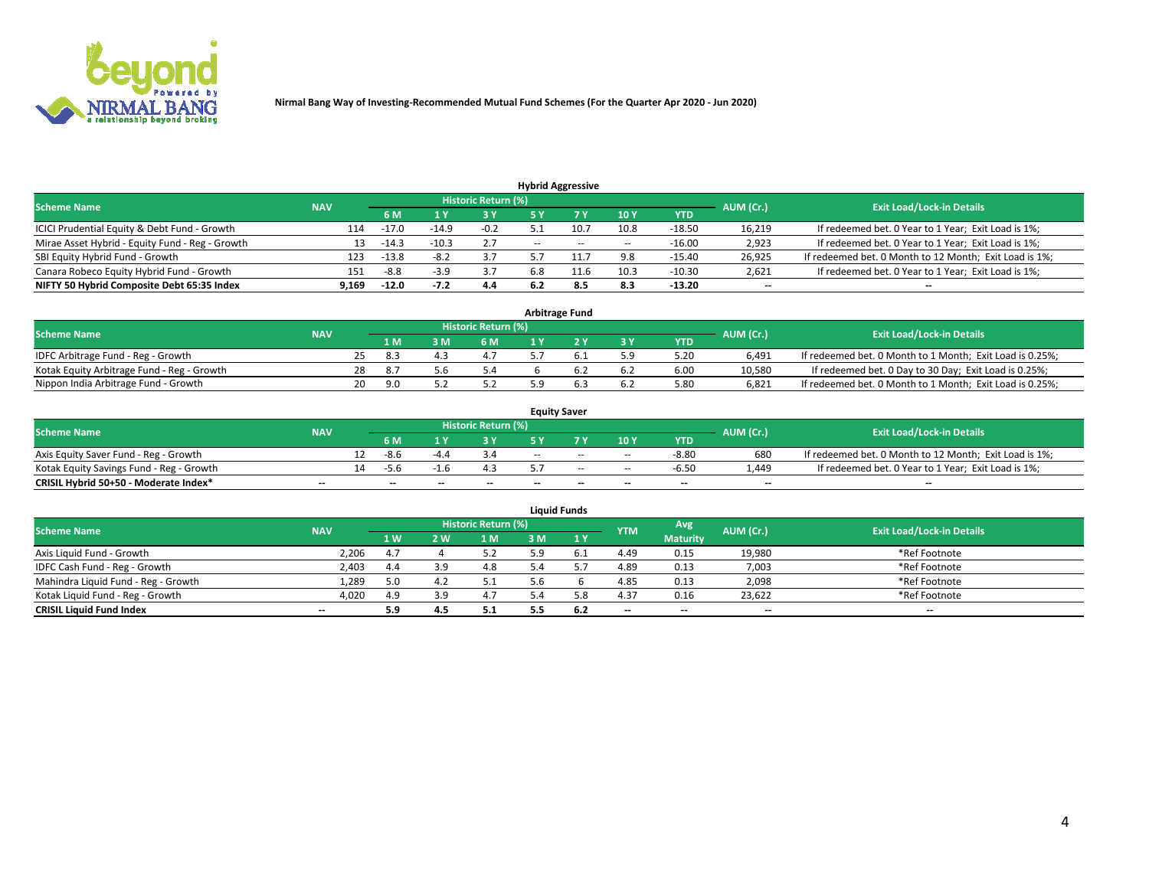

|                                                 |            |                                  |         |        |                          | <b>Hybrid Aggressive</b> |        |          |        |                                                        |
|-------------------------------------------------|------------|----------------------------------|---------|--------|--------------------------|--------------------------|--------|----------|--------|--------------------------------------------------------|
| <b>Scheme Name</b>                              | AUM (Cr.)  | <b>Exit Load/Lock-in Details</b> |         |        |                          |                          |        |          |        |                                                        |
|                                                 | <b>NAV</b> | 6 M                              |         | 3 Y    |                          |                          | 10Y    | YTD      |        |                                                        |
| ICICI Prudential Equity & Debt Fund - Growth    | 114        | $-17.0$                          | $-14.9$ | $-0.2$ |                          | 10.7                     | 10.8   | $-18.50$ | 16,219 | If redeemed bet. 0 Year to 1 Year; Exit Load is 1%;    |
| Mirae Asset Hybrid - Equity Fund - Reg - Growth | 13         | $-14.3$                          | $-10.3$ | 2.7    | $\overline{\phantom{a}}$ | $\sim$                   | $\sim$ | $-16.00$ | 2,923  | If redeemed bet. 0 Year to 1 Year; Exit Load is 1%;    |
| SBI Equity Hybrid Fund - Growth                 | 123        | $-13.8$                          | $-8.2$  | 3.7    |                          |                          | 9.8    | $-15.40$ | 26,925 | If redeemed bet. 0 Month to 12 Month; Exit Load is 1%; |
| Canara Robeco Equity Hybrid Fund - Growth       | 151        | -8.8                             |         | 3.7    | 6.8                      |                          | 10.3   | $-10.30$ | 2,621  | If redeemed bet. 0 Year to 1 Year; Exit Load is 1%;    |
| NIFTY 50 Hybrid Composite Debt 65:35 Index      | 9,169      | $-12.0$                          | $-7.2$  | 4.4    |                          | 8.5                      | 8.3    | $-13.20$ | $- -$  | $\overline{\phantom{a}}$                               |

| <b>Arbitrage Fund</b>                      |            |    |     |    |                            |  |  |       |            |           |                                                          |  |  |
|--------------------------------------------|------------|----|-----|----|----------------------------|--|--|-------|------------|-----------|----------------------------------------------------------|--|--|
| <b>Scheme Name</b>                         | <b>NAV</b> |    |     |    | <b>Historic Return (%)</b> |  |  |       |            | AUM (Cr.) | <b>Exit Load/Lock-in Details</b>                         |  |  |
|                                            |            |    | 1 M | ιM | 6 M                        |  |  | $-3V$ | <b>YTD</b> |           |                                                          |  |  |
| IDFC Arbitrage Fund - Reg - Growth         |            |    | 8.3 |    | 4.1                        |  |  | 5.9   | 5.20       | 6.491     | If redeemed bet. 0 Month to 1 Month; Exit Load is 0.25%; |  |  |
| Kotak Equity Arbitrage Fund - Reg - Growth |            | 28 | 8.7 |    | 5.4                        |  |  |       | 6.00       | 10.580    | If redeemed bet. 0 Day to 30 Day; Exit Load is 0.25%;    |  |  |
| Nippon India Arbitrage Fund - Growth       |            | 20 | 9.C |    |                            |  |  |       | 5.80       | 6.821     | If redeemed bet. 0 Month to 1 Month; Exit Load is 0.25%; |  |  |

| <b>Equity Saver</b>                      |            |    |      |        |                     |       |        |        |                          |                          |                                                        |  |  |
|------------------------------------------|------------|----|------|--------|---------------------|-------|--------|--------|--------------------------|--------------------------|--------------------------------------------------------|--|--|
| <b>Scheme Name</b>                       | <b>NAV</b> |    |      |        | Historic Return (%) |       |        |        |                          | AUM (Cr.)                | <b>Exit Load/Lock-in Details</b>                       |  |  |
|                                          |            |    | 6 M  |        | o v                 |       |        | 10Y    | <b>YTD</b>               |                          |                                                        |  |  |
| Axis Equity Saver Fund - Reg - Growth    |            | 12 | -8.6 | $-4.4$ |                     | $- -$ | $-$    | $\sim$ | $-8.80$                  | 680                      | If redeemed bet. 0 Month to 12 Month; Exit Load is 1%; |  |  |
| Kotak Equity Savings Fund - Reg - Growth |            | 14 | -5.6 |        |                     |       | $\sim$ | $\sim$ | $-6.50$                  | 4.449.                   | If redeemed bet. 0 Year to 1 Year; Exit Load is 1%;    |  |  |
| CRISIL Hybrid 50+50 - Moderate Index*    | $- -$      |    | --   | --     | $-$                 | $- -$ | $\sim$ | $-$    | $\overline{\phantom{a}}$ | $\overline{\phantom{a}}$ | $-$                                                    |  |  |

| <b>Liquid Funds</b>                 |                          |           |     |                            |    |        |            |                 |           |                                  |  |  |  |
|-------------------------------------|--------------------------|-----------|-----|----------------------------|----|--------|------------|-----------------|-----------|----------------------------------|--|--|--|
| <b>Scheme Name</b>                  | <b>NAV</b>               |           |     | <b>Historic Return (%)</b> |    |        | <b>YTM</b> | Avg             | AUM (Cr.) | <b>Exit Load/Lock-in Details</b> |  |  |  |
|                                     |                          | <b>1W</b> | 2 W | 1 M                        | ١M | 1 V    |            | <b>Maturity</b> |           |                                  |  |  |  |
| Axis Liquid Fund - Growth           | 2,206                    | 4.7       |     |                            |    | . F. 1 | 4.49       | 0.15            | 19,980    | *Ref Footnote                    |  |  |  |
| IDFC Cash Fund - Reg - Growth       | 2,403                    | 4.4       |     | 4.8                        |    |        | 4.89       | 0.13            | 7,003     | *Ref Footnote                    |  |  |  |
| Mahindra Liquid Fund - Reg - Growth | 1,289                    | 5.0       |     | 5.1                        |    |        | 4.85       | 0.13            | 2,098     | *Ref Footnote                    |  |  |  |
| Kotak Liquid Fund - Reg - Growth    | 4,020                    | 4.9       | 3.9 | 4.7                        |    | 5.8    | 4.37       | 0.16            | 23.622    | *Ref Footnote                    |  |  |  |
| <b>CRISIL Liquid Fund Index</b>     | $\overline{\phantom{a}}$ | 5.9       | 4.5 | 5.1                        |    | 6.2    | $-$        | $- -$           | $- -$     | $- -$                            |  |  |  |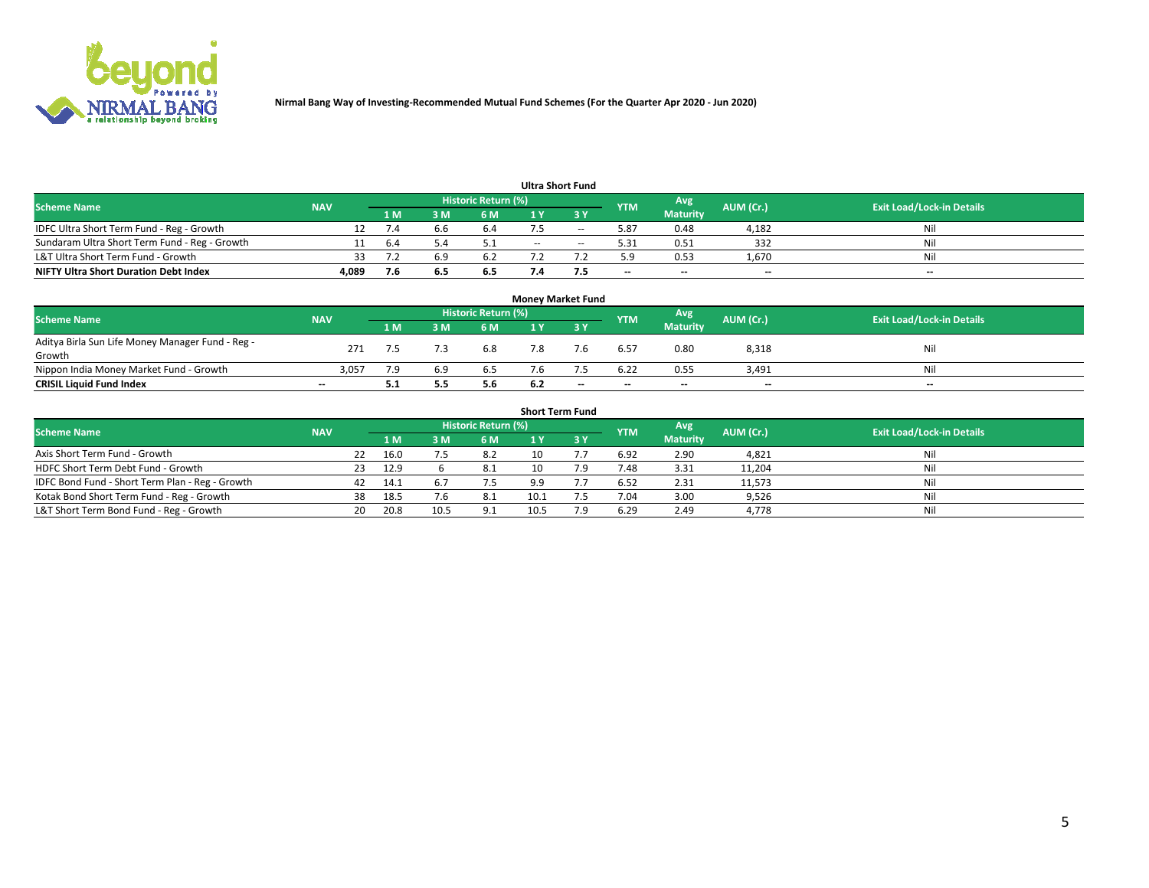

| <b>Ultra Short Fund</b>                       |            |     |     |                     |     |     |            |                          |           |                                  |  |  |  |  |
|-----------------------------------------------|------------|-----|-----|---------------------|-----|-----|------------|--------------------------|-----------|----------------------------------|--|--|--|--|
| <b>Scheme Name</b>                            | <b>NAV</b> |     |     | Historic Return (%) |     |     | <b>YTM</b> | Avg                      | AUM (Cr.) | <b>Exit Load/Lock-in Details</b> |  |  |  |  |
|                                               |            | 1 M | м   | 6 M                 |     | ע כ |            | <b>Maturity</b>          |           |                                  |  |  |  |  |
| IDFC Ultra Short Term Fund - Reg - Growth     |            |     |     | 6.4                 |     | --  | 5.87       | 0.48                     | 4,182     | Nil                              |  |  |  |  |
| Sundaram Ultra Short Term Fund - Reg - Growth |            | b.4 |     |                     | $-$ | $-$ | 5.31       | 0.51                     | 332       | Nil                              |  |  |  |  |
| L&T Ultra Short Term Fund - Growth            |            |     |     | 6.2                 |     |     | 5.9        | 0.53                     | 1,670     | Nil                              |  |  |  |  |
| <b>NIFTY Ultra Short Duration Debt Index</b>  | 4,089      |     | 6.5 | 6.5                 |     |     | $-$        | $\overline{\phantom{a}}$ | $-$       | $-$                              |  |  |  |  |

| <b>Money Market Fund</b>                         |            |      |     |                            |     |     |            |                 |           |                                  |  |  |  |  |
|--------------------------------------------------|------------|------|-----|----------------------------|-----|-----|------------|-----------------|-----------|----------------------------------|--|--|--|--|
| <b>Scheme Name</b>                               | <b>NAV</b> |      |     | <b>Historic Return (%)</b> |     |     | <b>YTM</b> | Avg             | AUM (Cr.) | <b>Exit Load/Lock-in Details</b> |  |  |  |  |
|                                                  |            | '1 M | 3 M | 6 M                        |     | ע כ |            | <b>Maturity</b> |           |                                  |  |  |  |  |
| Aditya Birla Sun Life Money Manager Fund - Reg - | 271        |      |     | 6.8                        |     | 7.6 | 6.57       | 0.80            | 8,318     | Nil                              |  |  |  |  |
| Growth                                           |            |      |     |                            |     |     |            |                 |           |                                  |  |  |  |  |
| Nippon India Money Market Fund - Growth          | 3.057      |      | 5.9 | 6.5                        |     |     | 6.22       | 0.55            | 3.491     | Nil                              |  |  |  |  |
| <b>CRISIL Liquid Fund Index</b>                  | $- -$      | 5.1  | 5.5 | 5.6                        | 6.2 | --  | $-$        | $-$             | $- -$     | $-$                              |  |  |  |  |

| <b>Short Term Fund</b>                          |            |     |      |      |                            |      |  |            |                 |           |                                  |  |  |
|-------------------------------------------------|------------|-----|------|------|----------------------------|------|--|------------|-----------------|-----------|----------------------------------|--|--|
| <b>Scheme Name</b>                              | <b>NAV</b> |     |      |      | <b>Historic Return (%)</b> |      |  | <b>YTM</b> | Avg             | AUM (Cr.) | <b>Exit Load/Lock-in Details</b> |  |  |
|                                                 |            |     | 1 M  | 3 M  | 6 M                        |      |  |            | <b>Maturity</b> |           |                                  |  |  |
| Axis Short Term Fund - Growth                   |            | 22  | 16.0 |      | 8.2                        | 10   |  | 6.92       | 2.90            | 4,821     | Nil                              |  |  |
| HDFC Short Term Debt Fund - Growth              |            | 23. | 12.9 |      | 8.1                        | 10   |  | 7.48       | 3.31            | 11,204    | Nil                              |  |  |
| IDFC Bond Fund - Short Term Plan - Reg - Growth |            | 42  | 14.1 |      | 7.5                        | 9.9  |  | 6.52       | 2.31            | 11,573    | Nil                              |  |  |
| Kotak Bond Short Term Fund - Reg - Growth       |            | 38  | 18.5 | 7.6  | -8.1                       | 10.1 |  | 7.04       | 3.00            | 9,526     | Nil                              |  |  |
| L&T Short Term Bond Fund - Reg - Growth         |            | 20  | 20.8 | 10.5 | 9.1                        |      |  | 6.29       | 2.49            | 4,778     | Nil                              |  |  |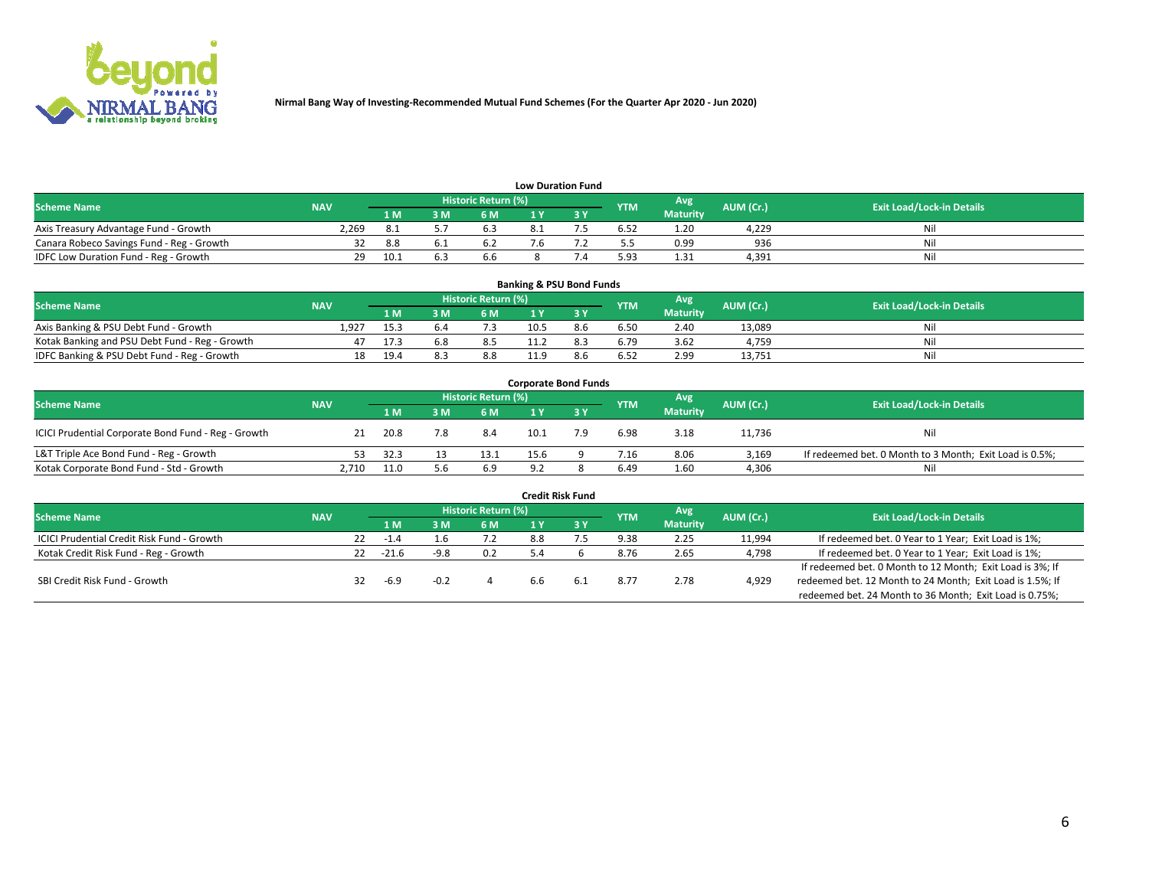

| <b>Low Duration Fund</b>                  |            |      |      |                            |  |  |            |                 |           |                                  |  |  |  |
|-------------------------------------------|------------|------|------|----------------------------|--|--|------------|-----------------|-----------|----------------------------------|--|--|--|
| <b>Scheme Name</b>                        | <b>NAV</b> |      |      | <b>Historic Return (%)</b> |  |  | <b>YTM</b> | Avg             | AUM (Cr.) | <b>Exit Load/Lock-in Details</b> |  |  |  |
|                                           |            | 1 M  | 3 M. | 6 M                        |  |  |            | <b>Maturity</b> |           |                                  |  |  |  |
| Axis Treasury Advantage Fund - Growth     | 2,269      |      |      | 6.3                        |  |  | 6.52       | 1.20            | 4.229     | Nil                              |  |  |  |
| Canara Robeco Savings Fund - Reg - Growth |            | 8.8  |      | b.,                        |  |  | כ.כ        | 0.99            | 936       | Nil                              |  |  |  |
| IDFC Low Duration Fund - Reg - Growth     | 29         | 10.1 |      | 6.6                        |  |  | 5.93       | 1.31            | 4.391     | Nil                              |  |  |  |

| <b>Banking &amp; PSU Bond Funds</b>            |            |      |       |                            |      |     |            |                 |           |                                  |  |  |  |
|------------------------------------------------|------------|------|-------|----------------------------|------|-----|------------|-----------------|-----------|----------------------------------|--|--|--|
| <b>Scheme Name</b>                             | <b>NAV</b> |      |       | <b>Historic Return (%)</b> |      |     | <b>YTM</b> | Avg             | AUM (Cr.) | <b>Exit Load/Lock-in Details</b> |  |  |  |
|                                                |            | 1 M  | 8 M I | 6 M                        |      |     |            | <b>Maturity</b> |           |                                  |  |  |  |
| Axis Banking & PSU Debt Fund - Growth          | 1.927      | 15.3 |       |                            | 10.5 | 8.6 | 6.50       | 2.40            | 13.089    | Nil                              |  |  |  |
| Kotak Banking and PSU Debt Fund - Reg - Growth |            | 17.3 | 5.8   | 8.5                        |      |     | 6.79       | 3.62            | 4.759     | Nil                              |  |  |  |
| IDFC Banking & PSU Debt Fund - Reg - Growth    | 18         | 19.4 |       | 8.8                        | 11.9 | 8.b | 6.52       | 2.99            | 13,751    | Nil                              |  |  |  |

| <b>Corporate Bond Funds</b>                         |            |      |  |                     |      |     |            |                 |           |                                                         |  |  |  |  |
|-----------------------------------------------------|------------|------|--|---------------------|------|-----|------------|-----------------|-----------|---------------------------------------------------------|--|--|--|--|
| <b>Scheme Name</b>                                  | <b>NAV</b> |      |  | Historic Return (%) |      |     | <b>YTM</b> | Avg             | AUM (Cr.) | <b>Exit Load/Lock-in Details</b>                        |  |  |  |  |
|                                                     |            | 1 M  |  | 6 M                 |      |     |            | <b>Maturity</b> |           |                                                         |  |  |  |  |
| ICICI Prudential Corporate Bond Fund - Reg - Growth |            | 20.8 |  | 8.4                 | 10.1 | 7.9 | 6.98       | 3.18            | 11,736    | Nil                                                     |  |  |  |  |
| L&T Triple Ace Bond Fund - Reg - Growth             | 53.        | 32.3 |  | 13.1                | 15.6 |     | 7.16       | 8.06            | 3.169     | If redeemed bet. 0 Month to 3 Month; Exit Load is 0.5%; |  |  |  |  |
| Kotak Corporate Bond Fund - Std - Growth            | 2,710      | 11.0 |  | 6.9                 | 9.2  |     | 6.49       | 1.60            | 4,306     | Nil                                                     |  |  |  |  |

| <b>Credit Risk Fund</b>                           |            |     |         |        |                     |     |     |            |                        |           |                                                           |  |  |
|---------------------------------------------------|------------|-----|---------|--------|---------------------|-----|-----|------------|------------------------|-----------|-----------------------------------------------------------|--|--|
| <b>Scheme Name</b>                                | <b>NAV</b> |     |         |        | Historic Return (%) |     |     | <b>YTM</b> | Avg<br><b>Maturity</b> | AUM (Cr.) | <b>Exit Load/Lock-in Details</b>                          |  |  |
|                                                   |            |     |         | ЗM     | 6 M                 |     | 3 Y |            |                        |           |                                                           |  |  |
| <b>ICICI Prudential Credit Risk Fund - Growth</b> |            | 22. | -1.4    | ⊥.b    | 7.2                 | 8.8 |     | 9.38       | 2.25                   | 11,994    | If redeemed bet. 0 Year to 1 Year; Exit Load is 1%;       |  |  |
| Kotak Credit Risk Fund - Reg - Growth             |            | 22  | $-21.6$ | $-9.8$ | 0.2                 |     |     | 8.76       | 2.65                   | 4,798     | If redeemed bet. 0 Year to 1 Year; Exit Load is 1%;       |  |  |
|                                                   |            |     |         |        |                     |     |     |            |                        |           | If redeemed bet. 0 Month to 12 Month; Exit Load is 3%; If |  |  |
| SBI Credit Risk Fund - Growth                     |            |     | $-6.9$  |        |                     | 6.6 | 6.1 | 8.77       | 2.78                   | 4,929     | redeemed bet. 12 Month to 24 Month; Exit Load is 1.5%; If |  |  |
|                                                   |            |     |         |        |                     |     |     |            |                        |           | redeemed bet. 24 Month to 36 Month; Exit Load is 0.75%;   |  |  |